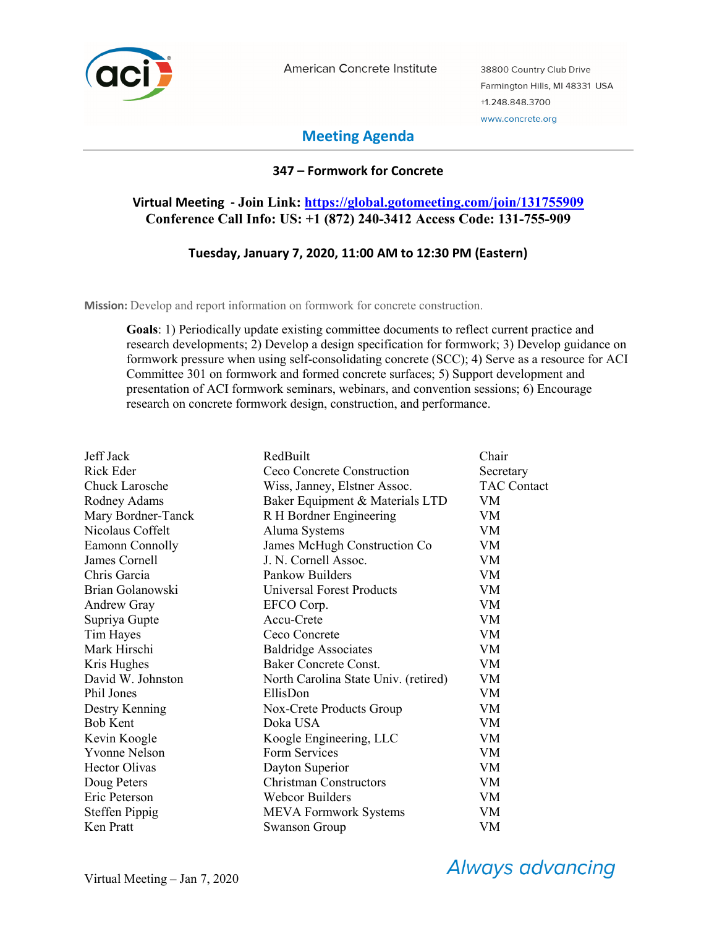

American Concrete Institute

38800 Country Club Drive Farmington Hills, MI 48331 USA +1.248.848.3700 www.concrete.org

# **Meeting Agenda**

## **347 – Formwork for Concrete**

## **Virtual Meeting - Join Link: https://global.gotomeeting.com/join/131755909 Conference Call Info: US: +1 (872) 240-3412 Access Code: 131-755-909**

## **Tuesday, January 7, 2020, 11:00 AM to 12:30 PM (Eastern)**

**Mission:** Develop and report information on formwork for concrete construction.

**Goals**: 1) Periodically update existing committee documents to reflect current practice and research developments; 2) Develop a design specification for formwork; 3) Develop guidance on formwork pressure when using self-consolidating concrete (SCC); 4) Serve as a resource for ACI Committee 301 on formwork and formed concrete surfaces; 5) Support development and presentation of ACI formwork seminars, webinars, and convention sessions; 6) Encourage research on concrete formwork design, construction, and performance.

| Jeff Jack             | RedBuilt                             | Chair              |
|-----------------------|--------------------------------------|--------------------|
| Rick Eder             | Ceco Concrete Construction           | Secretary          |
| Chuck Larosche        | Wiss, Janney, Elstner Assoc.         | <b>TAC Contact</b> |
| Rodney Adams          | Baker Equipment & Materials LTD      | VM                 |
| Mary Bordner-Tanck    | R H Bordner Engineering              | <b>VM</b>          |
| Nicolaus Coffelt      | Aluma Systems                        | VM                 |
| Eamonn Connolly       | James McHugh Construction Co         | VM                 |
| James Cornell         | J. N. Cornell Assoc.                 | VM                 |
| Chris Garcia          | Pankow Builders                      | VM                 |
| Brian Golanowski      | <b>Universal Forest Products</b>     | VM                 |
| <b>Andrew Gray</b>    | EFCO Corp.                           | VM.                |
| Supriya Gupte         | Accu-Crete                           | VM                 |
| Tim Hayes             | Ceco Concrete                        | VM                 |
| Mark Hirschi          | <b>Baldridge Associates</b>          | VM                 |
| Kris Hughes           | Baker Concrete Const.                | VM                 |
| David W. Johnston     | North Carolina State Univ. (retired) | VM                 |
| Phil Jones            | EllisDon                             | VM                 |
| Destry Kenning        | Nox-Crete Products Group             | VM                 |
| <b>Bob Kent</b>       | Doka USA                             | VM                 |
| Kevin Koogle          | Koogle Engineering, LLC              | VM                 |
| <b>Yvonne Nelson</b>  | Form Services                        | VM                 |
| <b>Hector Olivas</b>  | Dayton Superior                      | VM                 |
| Doug Peters           | <b>Christman Constructors</b>        | <b>VM</b>          |
| Eric Peterson         | <b>Webcor Builders</b>               | VM                 |
| <b>Steffen Pippig</b> | <b>MEVA Formwork Systems</b>         | VM                 |
| Ken Pratt             | Swanson Group                        | VM                 |

**Always advancing**